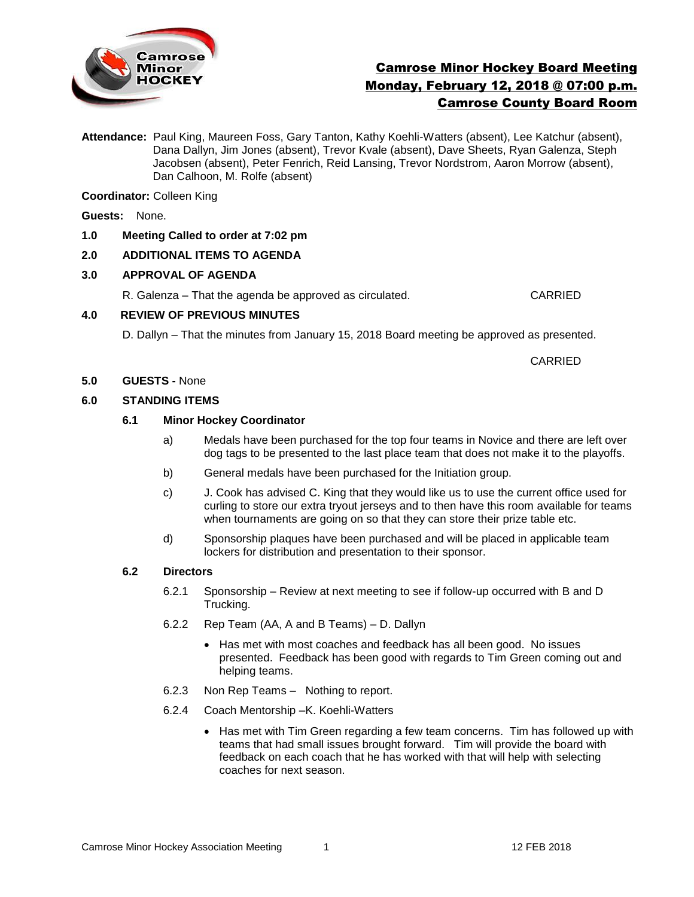

# Camrose Minor Hockey Board Meeting Monday, February 12, 2018 @ 07:00 p.m. Camrose County Board Room

**Attendance:** Paul King, Maureen Foss, Gary Tanton, Kathy Koehli-Watters (absent), Lee Katchur (absent), Dana Dallyn, Jim Jones (absent), Trevor Kvale (absent), Dave Sheets, Ryan Galenza, Steph Jacobsen (absent), Peter Fenrich, Reid Lansing, Trevor Nordstrom, Aaron Morrow (absent), Dan Calhoon, M. Rolfe (absent)

**Coordinator:** Colleen King

**Guests:** None.

**1.0 Meeting Called to order at 7:02 pm**

# **2.0 ADDITIONAL ITEMS TO AGENDA**

## **3.0 APPROVAL OF AGENDA**

R. Galenza – That the agenda be approved as circulated. CARRIED

## **4.0 REVIEW OF PREVIOUS MINUTES**

D. Dallyn – That the minutes from January 15, 2018 Board meeting be approved as presented.

CARRIED

## **5.0 GUESTS -** None

## **6.0 STANDING ITEMS**

## **6.1 Minor Hockey Coordinator**

- a) Medals have been purchased for the top four teams in Novice and there are left over dog tags to be presented to the last place team that does not make it to the playoffs.
- b) General medals have been purchased for the Initiation group.
- c) J. Cook has advised C. King that they would like us to use the current office used for curling to store our extra tryout jerseys and to then have this room available for teams when tournaments are going on so that they can store their prize table etc.
- d) Sponsorship plaques have been purchased and will be placed in applicable team lockers for distribution and presentation to their sponsor.

#### **6.2 Directors**

- 6.2.1 Sponsorship Review at next meeting to see if follow-up occurred with B and D Trucking.
- 6.2.2 Rep Team (AA, A and B Teams) D. Dallyn
	- Has met with most coaches and feedback has all been good. No issues presented. Feedback has been good with regards to Tim Green coming out and helping teams.
- 6.2.3 Non Rep Teams Nothing to report.
- 6.2.4 Coach Mentorship –K. Koehli-Watters
	- Has met with Tim Green regarding a few team concerns. Tim has followed up with teams that had small issues brought forward. Tim will provide the board with feedback on each coach that he has worked with that will help with selecting coaches for next season.